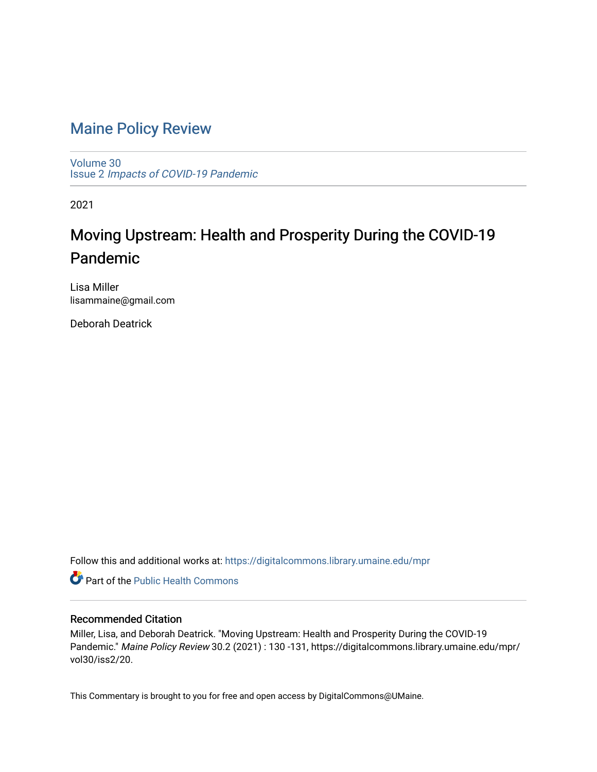## [Maine Policy Review](https://digitalcommons.library.umaine.edu/mpr)

[Volume 30](https://digitalcommons.library.umaine.edu/mpr/vol30) Issue 2 [Impacts of COVID-19 Pandemic](https://digitalcommons.library.umaine.edu/mpr/vol30/iss2)

2021

## Moving Upstream: Health and Prosperity During the COVID-19 Pandemic

Lisa Miller lisammaine@gmail.com

Deborah Deatrick

Follow this and additional works at: [https://digitalcommons.library.umaine.edu/mpr](https://digitalcommons.library.umaine.edu/mpr?utm_source=digitalcommons.library.umaine.edu%2Fmpr%2Fvol30%2Fiss2%2F20&utm_medium=PDF&utm_campaign=PDFCoverPages)

Part of the [Public Health Commons](http://network.bepress.com/hgg/discipline/738?utm_source=digitalcommons.library.umaine.edu%2Fmpr%2Fvol30%2Fiss2%2F20&utm_medium=PDF&utm_campaign=PDFCoverPages) 

### Recommended Citation

Miller, Lisa, and Deborah Deatrick. "Moving Upstream: Health and Prosperity During the COVID-19 Pandemic." Maine Policy Review 30.2 (2021) : 130 -131, https://digitalcommons.library.umaine.edu/mpr/ vol30/iss2/20.

This Commentary is brought to you for free and open access by DigitalCommons@UMaine.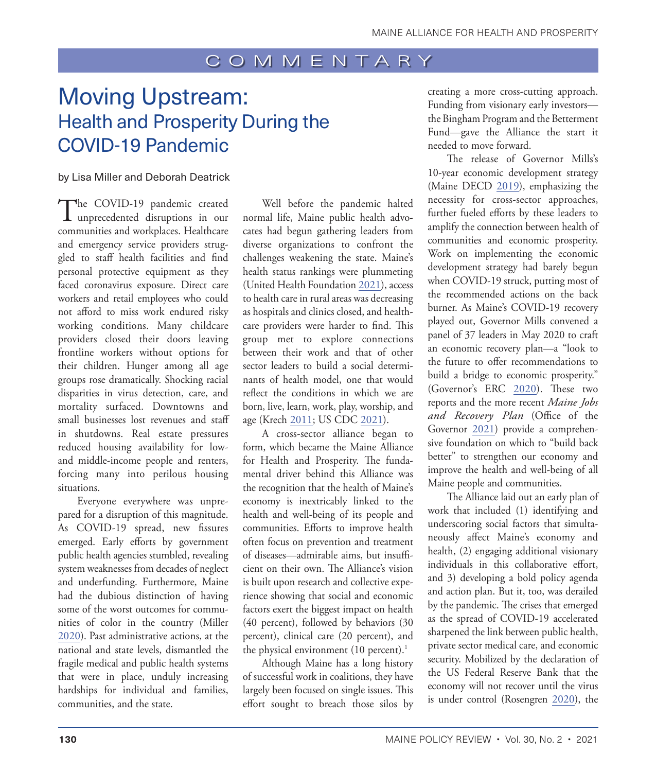### COMMENTARY

# <span id="page-1-0"></span>Moving Upstream: Health and Prosperity During the COVID-19 Pandemic

### by Lisa Miller and Deborah Deatrick

The COVID-19 pandemic created<br>unprecedented disruptions in our communities and workplaces. Healthcare and emergency service providers struggled to staff health facilities and find personal protective equipment as they faced coronavirus exposure. Direct care workers and retail employees who could not afford to miss work endured risky working conditions. Many childcare providers closed their doors leaving frontline workers without options for their children. Hunger among all age groups rose dramatically. Shocking racial disparities in virus detection, care, and mortality surfaced. Downtowns and small businesses lost revenues and staff in shutdowns. Real estate pressures reduced housing availability for lowand middle-income people and renters, forcing many into perilous housing situations.

Everyone everywhere was unprepared for a disruption of this magnitude. As COVID-19 spread, new fissures emerged. Early efforts by government public health agencies stumbled, revealing system weaknesses from decades of neglect and underfunding. Furthermore, Maine had the dubious distinction of having some of the worst outcomes for communities of color in the country (Miller [2020](#page-2-0)). Past administrative actions, at the national and state levels, dismantled the fragile medical and public health systems that were in place, unduly increasing hardships for individual and families, communities, and the state.

Well before the pandemic halted normal life, Maine public health advocates had begun gathering leaders from diverse organizations to confront the challenges weakening the state. Maine's health status rankings were plummeting (United Health Foundation [2021](#page-2-1)), access to health care in rural areas was decreasing as hospitals and clinics closed, and healthcare providers were harder to find. This group met to explore connections between their work and that of other sector leaders to build a social determinants of health model, one that would reflect the conditions in which we are born, live, learn, work, play, worship, and age (Krech 2011; US CDC [2021](#page-2-2)).

A cross-sector alliance began to form, which became the Maine Alliance for Health and Prosperity. The fundamental driver behind this Alliance was the recognition that the health of Maine's economy is inextricably linked to the health and well-being of its people and communities. Efforts to improve health often focus on prevention and treatment of diseases—admirable aims, but insufficient on their own. The Alliance's vision is built upon research and collective experience showing that social and economic factors exert the biggest impact on health (40 percent), followed by behaviors (30 percent), clinical care (20 percent), and the physical environment  $(10 \text{ percent.})$ <sup>1</sup>

Although Maine has a long history of successful work in coalitions, they have largely been focused on single issues. This effort sought to breach those silos by creating a more cross-cutting approach. Funding from visionary early investors the Bingham Program and the Betterment Fund—gave the Alliance the start it needed to move forward.

The release of Governor Mills's 10-year economic development strategy (Maine DECD [2019](#page-2-4)), emphasizing the necessity for cross-sector approaches, further fueled efforts by these leaders to amplify the connection between health of communities and economic prosperity. Work on implementing the economic development strategy had barely begun when COVID-19 struck, putting most of the recommended actions on the back burner. As Maine's COVID-19 recovery played out, Governor Mills convened a panel of 37 leaders in May 2020 to craft an economic recovery plan—a "look to the future to offer recommendations to build a bridge to economic prosperity." (Governor's ERC 2020). These two reports and the more recent *Maine Jobs and Recovery Plan* (Office of the Governor [2021\)](#page-2-5) provide a comprehensive foundation on which to "build back better" to strengthen our economy and improve the health and well-being of all Maine people and communities.

The Alliance laid out an early plan of work that included (1) identifying and underscoring social factors that simultaneously affect Maine's economy and health, (2) engaging additional visionary individuals in this collaborative effort, and 3) developing a bold policy agenda and action plan. But it, too, was derailed by the pandemic. The crises that emerged as the spread of COVID-19 accelerated sharpened the link between public health, private sector medical care, and economic security. Mobilized by the declaration of the US Federal Reserve Bank that the economy will not recover until the virus is under control (Rosengren [2020](#page-2-6)), the